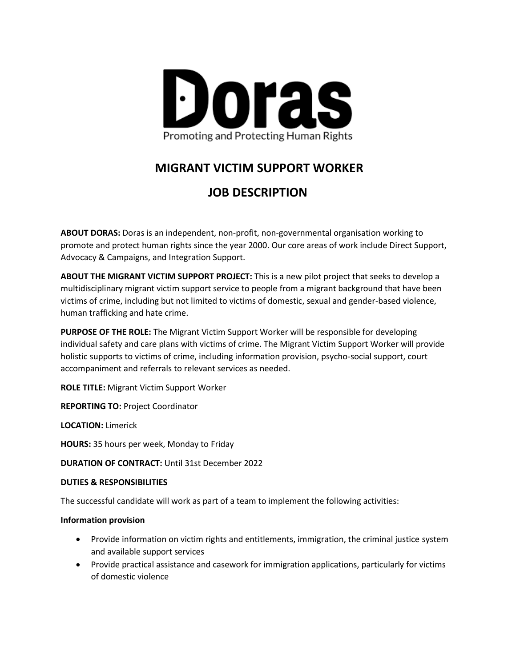

## **MIGRANT VICTIM SUPPORT WORKER**

# **JOB DESCRIPTION**

**ABOUT DORAS:** Doras is an independent, non-profit, non-governmental organisation working to promote and protect human rights since the year 2000. Our core areas of work include Direct Support, Advocacy & Campaigns, and Integration Support.

**ABOUT THE MIGRANT VICTIM SUPPORT PROJECT:** This is a new pilot project that seeks to develop a multidisciplinary migrant victim support service to people from a migrant background that have been victims of crime, including but not limited to victims of domestic, sexual and gender-based violence, human trafficking and hate crime.

**PURPOSE OF THE ROLE:** The Migrant Victim Support Worker will be responsible for developing individual safety and care plans with victims of crime. The Migrant Victim Support Worker will provide holistic supports to victims of crime, including information provision, psycho-social support, court accompaniment and referrals to relevant services as needed.

**ROLE TITLE:** Migrant Victim Support Worker

**REPORTING TO:** Project Coordinator

**LOCATION:** Limerick

**HOURS:** 35 hours per week, Monday to Friday

**DURATION OF CONTRACT:** Until 31st December 2022

#### **DUTIES & RESPONSIBILITIES**

The successful candidate will work as part of a team to implement the following activities:

#### **Information provision**

- Provide information on victim rights and entitlements, immigration, the criminal justice system and available support services
- Provide practical assistance and casework for immigration applications, particularly for victims of domestic violence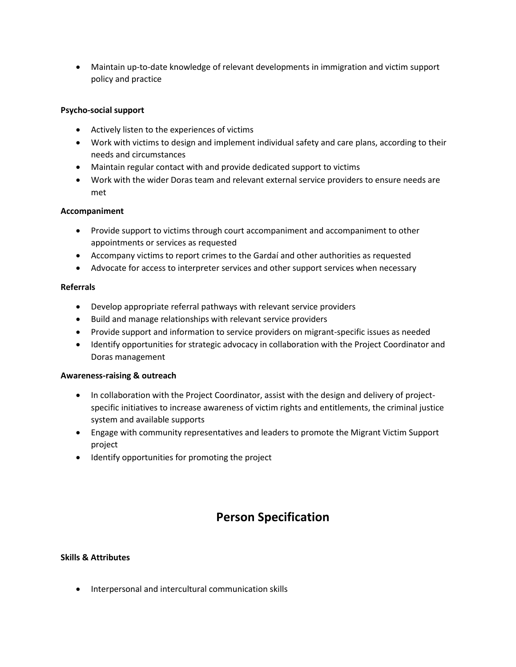• Maintain up-to-date knowledge of relevant developments in immigration and victim support policy and practice

### **Psycho-social support**

- Actively listen to the experiences of victims
- Work with victims to design and implement individual safety and care plans, according to their needs and circumstances
- Maintain regular contact with and provide dedicated support to victims
- Work with the wider Doras team and relevant external service providers to ensure needs are met

#### **Accompaniment**

- Provide support to victims through court accompaniment and accompaniment to other appointments or services as requested
- Accompany victims to report crimes to the Gardaí and other authorities as requested
- Advocate for access to interpreter services and other support services when necessary

#### **Referrals**

- Develop appropriate referral pathways with relevant service providers
- Build and manage relationships with relevant service providers
- Provide support and information to service providers on migrant-specific issues as needed
- Identify opportunities for strategic advocacy in collaboration with the Project Coordinator and Doras management

#### **Awareness-raising & outreach**

- In collaboration with the Project Coordinator, assist with the design and delivery of projectspecific initiatives to increase awareness of victim rights and entitlements, the criminal justice system and available supports
- Engage with community representatives and leaders to promote the Migrant Victim Support project
- Identify opportunities for promoting the project

## **Person Specification**

#### **Skills & Attributes**

• Interpersonal and intercultural communication skills